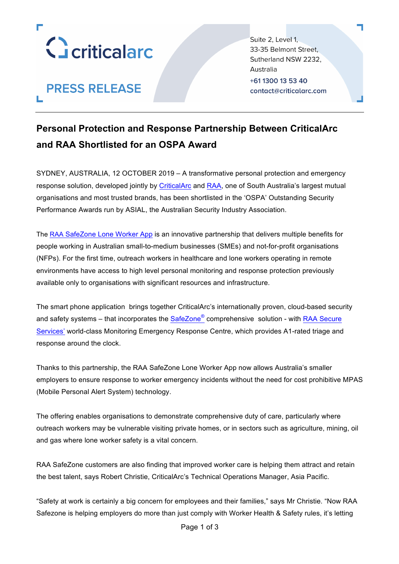

# **PRESS RELEASE**

Suite 2, Level 1, 33-35 Belmont Street. Sutherland NSW 2232, Australia +61 1300 13 53 40 contact@criticalarc.com

## **Personal Protection and Response Partnership Between CriticalArc and RAA Shortlisted for an OSPA Award**

SYDNEY, AUSTRALIA, 12 OCTOBER 2019 – A transformative personal protection and emergency response solution, developed jointly by CriticalArc and RAA, one of South Australia's largest mutual organisations and most trusted brands, has been shortlisted in the 'OSPA' Outstanding Security Performance Awards run by ASIAL, the Australian Security Industry Association.

The RAA SafeZone Lone Worker App is an innovative partnership that delivers multiple benefits for people working in Australian small-to-medium businesses (SMEs) and not-for-profit organisations (NFPs). For the first time, outreach workers in healthcare and lone workers operating in remote environments have access to high level personal monitoring and response protection previously available only to organisations with significant resources and infrastructure.

The smart phone application brings together CriticalArc's internationally proven, cloud-based security and safety systems – that incorporates the  $\text{SafeZone}^{\textcircled{e}}$  comprehensive solution - with RAA Secure Services' world-class Monitoring Emergency Response Centre, which provides A1-rated triage and response around the clock.

Thanks to this partnership, the RAA SafeZone Lone Worker App now allows Australia's smaller employers to ensure response to worker emergency incidents without the need for cost prohibitive MPAS (Mobile Personal Alert System) technology.

The offering enables organisations to demonstrate comprehensive duty of care, particularly where outreach workers may be vulnerable visiting private homes, or in sectors such as agriculture, mining, oil and gas where lone worker safety is a vital concern.

RAA SafeZone customers are also finding that improved worker care is helping them attract and retain the best talent, says Robert Christie, CriticalArc's Technical Operations Manager, Asia Pacific.

"Safety at work is certainly a big concern for employees and their families," says Mr Christie. "Now RAA Safezone is helping employers do more than just comply with Worker Health & Safety rules, it's letting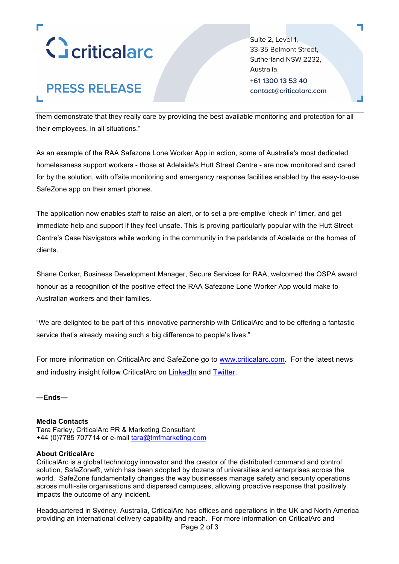

## **PRESS RELEASE** п

Suite 2, Level 1, 33-35 Belmont Street. Sutherland NSW 2232, Australia +61 1300 13 53 40 contact@criticalarc.com

them demonstrate that they really care by providing the best available monitoring and protection for all their employees, in all situations."

As an example of the RAA Safezone Lone Worker App in action, some of Australia's most dedicated homelessness support workers - those at Adelaide's Hutt Street Centre - are now monitored and cared for by the solution, with offsite monitoring and emergency response facilities enabled by the easy-to-use SafeZone app on their smart phones.

The application now enables staff to raise an alert, or to set a pre-emptive 'check in' timer, and get immediate help and support if they feel unsafe. This is proving particularly popular with the Hutt Street Centre's Case Navigators while working in the community in the parklands of Adelaide or the homes of clients.

Shane Corker, Business Development Manager, Secure Services for RAA, welcomed the OSPA award honour as a recognition of the positive effect the RAA Safezone Lone Worker App would make to Australian workers and their families.

"We are delighted to be part of this innovative partnership with CriticalArc and to be offering a fantastic service that's already making such a big difference to people's lives."

For more information on CriticalArc and SafeZone go to www.criticalarc.com. For the latest news and industry insight follow CriticalArc on LinkedIn and Twitter.

**—Ends—**

#### **Media Contacts**

Tara Farley, CriticalArc PR & Marketing Consultant +44 (0)7785 707714 or e-mail tara@tmfmarketing.com

#### **About CriticalArc**

CriticalArc is a global technology innovator and the creator of the distributed command and control solution, SafeZone®, which has been adopted by dozens of universities and enterprises across the world. SafeZone fundamentally changes the way businesses manage safety and security operations across multi-site organisations and dispersed campuses, allowing proactive response that positively impacts the outcome of any incident.

Page 2 of 3 Headquartered in Sydney, Australia, CriticalArc has offices and operations in the UK and North America providing an international delivery capability and reach. For more information on CriticalArc and